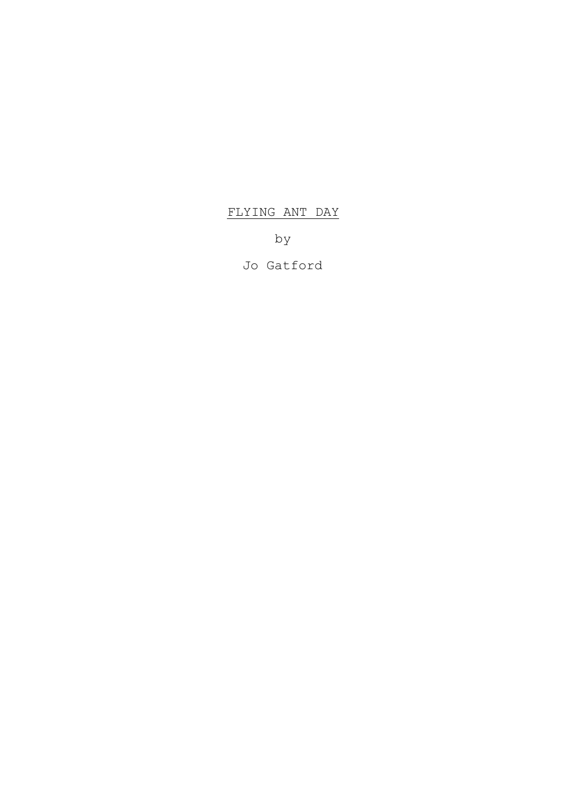# FLYING ANT DAY

by

Jo Gatford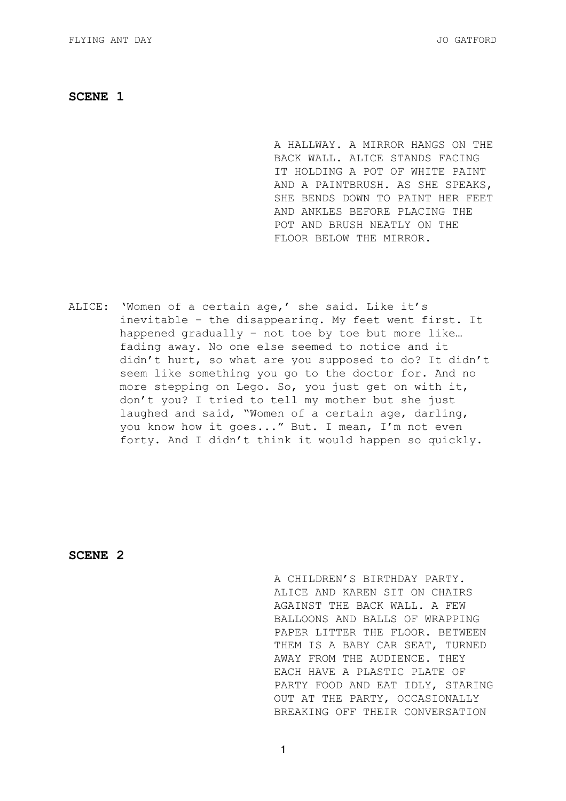A HALLWAY. A MIRROR HANGS ON THE BACK WALL. ALICE STANDS FACING IT HOLDING A POT OF WHITE PAINT AND A PAINTBRUSH. AS SHE SPEAKS, SHE BENDS DOWN TO PAINT HER FEET AND ANKLES BEFORE PLACING THE POT AND BRUSH NEATLY ON THE FLOOR BELOW THE MIRROR.

ALICE: 'Women of a certain age,' she said. Like it's inevitable – the disappearing. My feet went first. It happened gradually – not toe by toe but more like… fading away. No one else seemed to notice and it didn't hurt, so what are you supposed to do? It didn't seem like something you go to the doctor for. And no more stepping on Lego. So, you just get on with it, don't you? I tried to tell my mother but she just laughed and said, "Women of a certain age, darling, you know how it goes..." But. I mean, I'm not even forty. And I didn't think it would happen so quickly.

**SCENE 2** 

A CHILDREN'S BIRTHDAY PARTY. ALICE AND KAREN SIT ON CHAIRS AGAINST THE BACK WALL. A FEW BALLOONS AND BALLS OF WRAPPING PAPER LITTER THE FLOOR. BETWEEN THEM IS A BABY CAR SEAT, TURNED AWAY FROM THE AUDIENCE. THEY EACH HAVE A PLASTIC PLATE OF PARTY FOOD AND EAT IDLY, STARING OUT AT THE PARTY, OCCASIONALLY BREAKING OFF THEIR CONVERSATION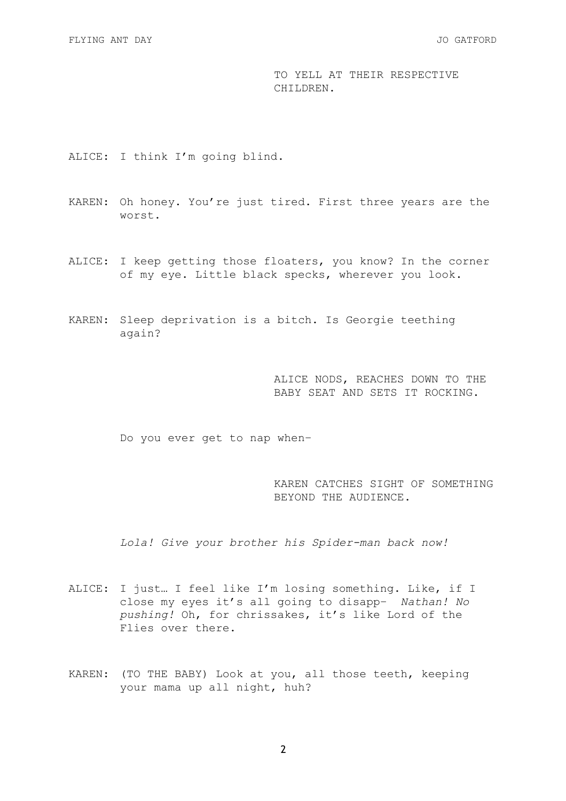TO YELL AT THEIR RESPECTIVE CHILDREN.

ALICE: I think I'm going blind.

- KAREN: Oh honey. You're just tired. First three years are the worst.
- ALICE: I keep getting those floaters, you know? In the corner of my eye. Little black specks, wherever you look.
- KAREN: Sleep deprivation is a bitch. Is Georgie teething again?

ALICE NODS, REACHES DOWN TO THE BABY SEAT AND SETS IT ROCKING.

Do you ever get to nap when–

KAREN CATCHES SIGHT OF SOMETHING BEYOND THE AUDIENCE.

*Lola! Give your brother his Spider-man back now!* 

- ALICE: I just… I feel like I'm losing something. Like, if I close my eyes it's all going to disapp– *Nathan! No pushing!* Oh, for chrissakes, it's like Lord of the Flies over there.
- KAREN: (TO THE BABY) Look at you, all those teeth, keeping your mama up all night, huh?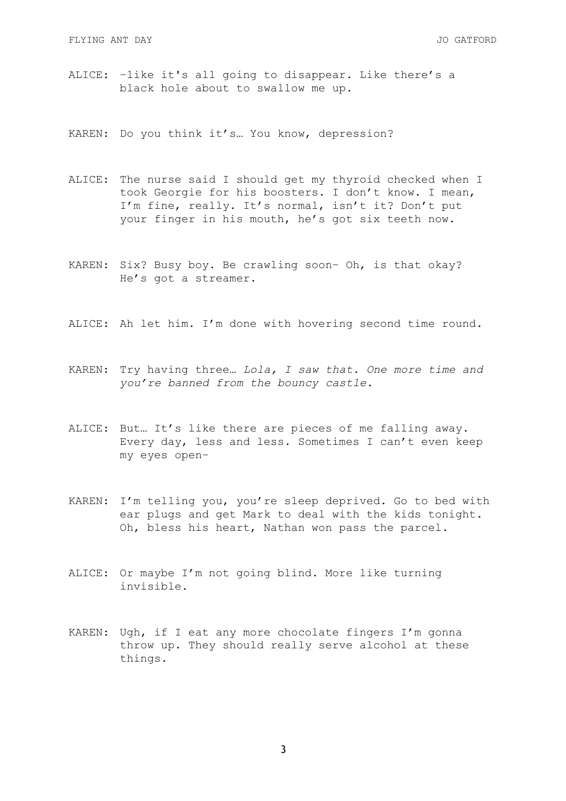- ALICE: –like it's all going to disappear. Like there's a black hole about to swallow me up.
- KAREN: Do you think it's… You know, depression?
- ALICE: The nurse said I should get my thyroid checked when I took Georgie for his boosters. I don't know. I mean, I'm fine, really. It's normal, isn't it? Don't put your finger in his mouth, he's got six teeth now.
- KAREN: Six? Busy boy. Be crawling soon– Oh, is that okay? He's got a streamer.
- ALICE: Ah let him. I'm done with hovering second time round.
- KAREN: Try having three… *Lola, I saw that. One more time and you're banned from the bouncy castle.*
- ALICE: But… It's like there are pieces of me falling away. Every day, less and less. Sometimes I can't even keep my eyes open–
- KAREN: I'm telling you, you're sleep deprived. Go to bed with ear plugs and get Mark to deal with the kids tonight. Oh, bless his heart, Nathan won pass the parcel.
- ALICE: Or maybe I'm not going blind. More like turning invisible.
- KAREN: Ugh, if I eat any more chocolate fingers I'm gonna throw up. They should really serve alcohol at these things.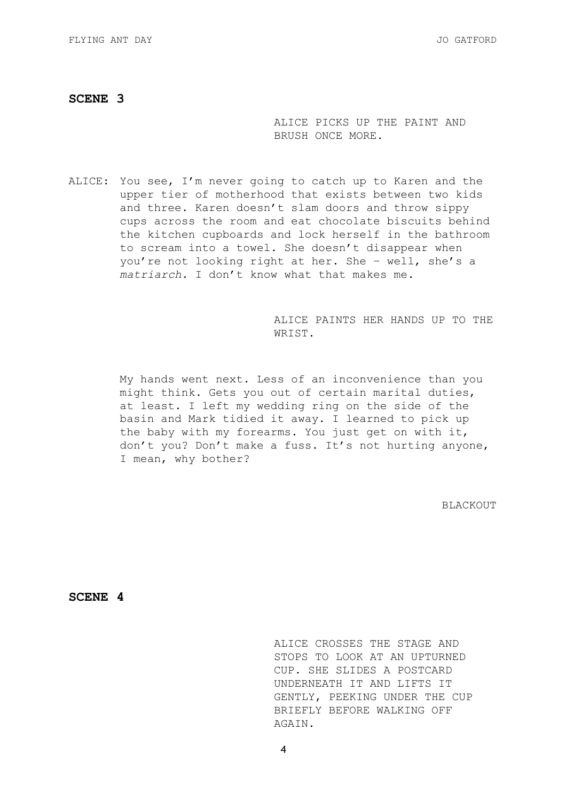ALICE PICKS UP THE PAINT AND BRUSH ONCE MORE.

ALICE: You see, I'm never going to catch up to Karen and the upper tier of motherhood that exists between two kids and three. Karen doesn't slam doors and throw sippy cups across the room and eat chocolate biscuits behind the kitchen cupboards and lock herself in the bathroom to scream into a towel. She doesn't disappear when you're not looking right at her. She – well, she's a *matriarch.* I don't know what that makes me.

> ALICE PAINTS HER HANDS UP TO THE WRIST.

My hands went next. Less of an inconvenience than you might think. Gets you out of certain marital duties, at least. I left my wedding ring on the side of the basin and Mark tidied it away. I learned to pick up the baby with my forearms. You just get on with it, don't you? Don't make a fuss. It's not hurting anyone, I mean, why bother?

BLACKOUT

**SCENE 4** 

ALICE CROSSES THE STAGE AND STOPS TO LOOK AT AN UPTURNED CUP. SHE SLIDES A POSTCARD UNDERNEATH IT AND LIFTS IT GENTLY, PEEKING UNDER THE CUP BRIEFLY BEFORE WALKING OFF AGAIN.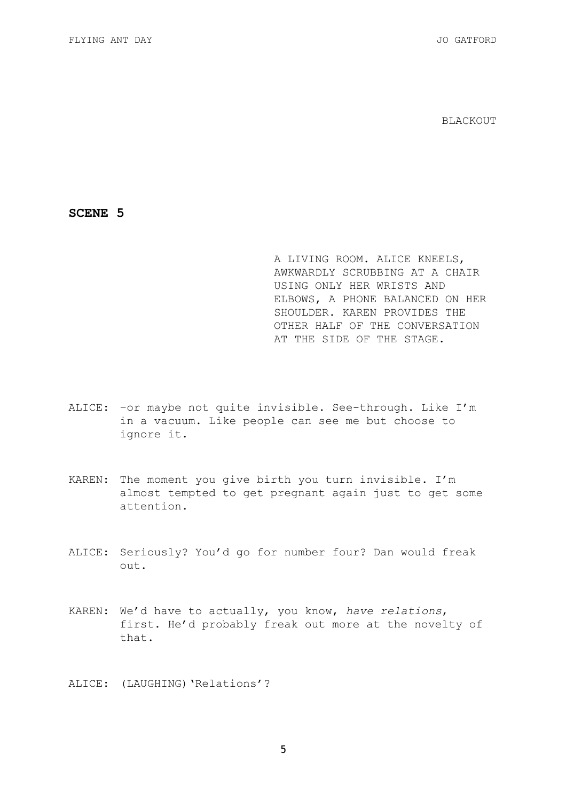BLACKOUT

**SCENE 5** 

A LIVING ROOM. ALICE KNEELS, AWKWARDLY SCRUBBING AT A CHAIR USING ONLY HER WRISTS AND ELBOWS, A PHONE BALANCED ON HER SHOULDER. KAREN PROVIDES THE OTHER HALF OF THE CONVERSATION AT THE SIDE OF THE STAGE.

- ALICE: –or maybe not quite invisible. See-through. Like I'm in a vacuum. Like people can see me but choose to ignore it.
- KAREN: The moment you give birth you turn invisible. I'm almost tempted to get pregnant again just to get some attention.
- ALICE: Seriously? You'd go for number four? Dan would freak out.
- KAREN: We'd have to actually, you know, *have relations*, first. He'd probably freak out more at the novelty of that.
- ALICE: (LAUGHING) 'Relations'?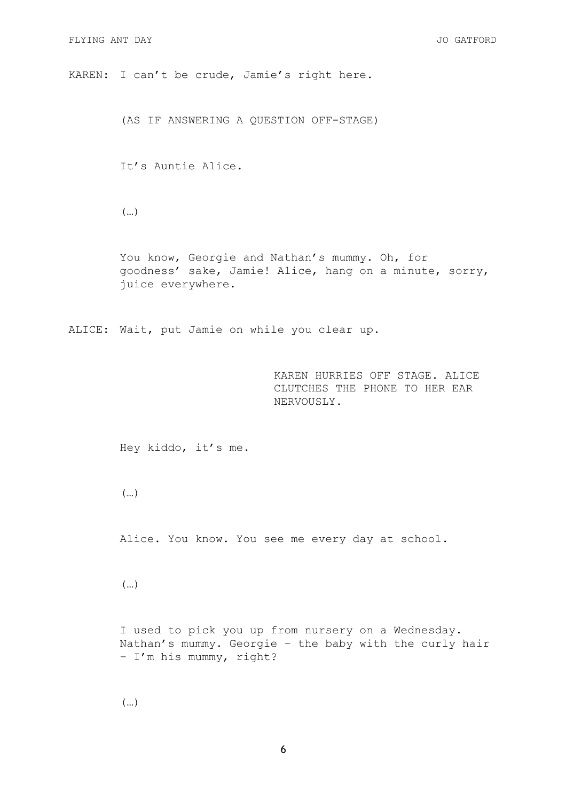KAREN: I can't be crude, Jamie's right here.

(AS IF ANSWERING A QUESTION OFF-STAGE)

It's Auntie Alice.

(…)

You know, Georgie and Nathan's mummy. Oh, for goodness' sake, Jamie! Alice, hang on a minute, sorry, juice everywhere.

ALICE: Wait, put Jamie on while you clear up.

KAREN HURRIES OFF STAGE. ALICE CLUTCHES THE PHONE TO HER EAR NERVOUSLY.

Hey kiddo, it's me.

(…)

Alice. You know. You see me every day at school.

(…)

I used to pick you up from nursery on a Wednesday. Nathan's mummy. Georgie – the baby with the curly hair – I'm his mummy, right?

(…)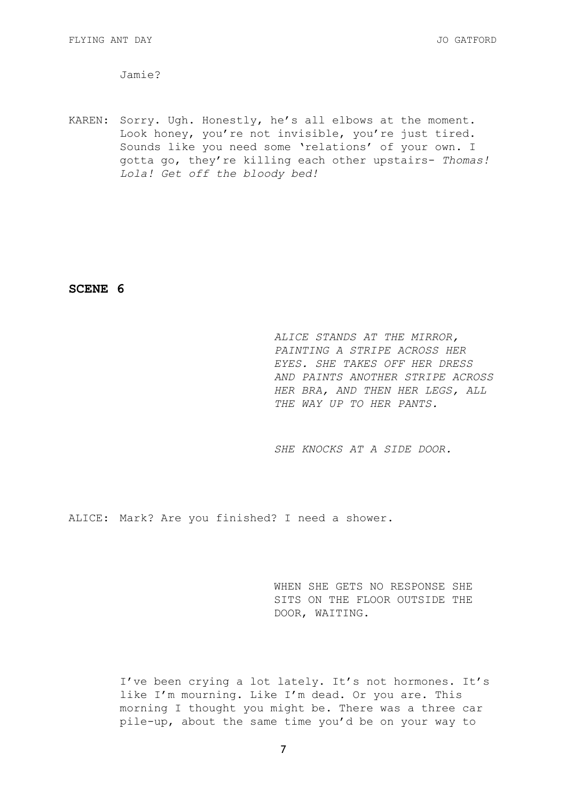Jamie?

KAREN: Sorry. Ugh. Honestly, he's all elbows at the moment. Look honey, you're not invisible, you're just tired. Sounds like you need some 'relations' of your own. I gotta go, they're killing each other upstairs- *Thomas! Lola! Get off the bloody bed!* 

**SCENE 6** 

*ALICE STANDS AT THE MIRROR, PAINTING A STRIPE ACROSS HER EYES. SHE TAKES OFF HER DRESS AND PAINTS ANOTHER STRIPE ACROSS HER BRA, AND THEN HER LEGS, ALL THE WAY UP TO HER PANTS.* 

*SHE KNOCKS AT A SIDE DOOR.* 

ALICE: Mark? Are you finished? I need a shower.

WHEN SHE GETS NO RESPONSE SHE SITS ON THE FLOOR OUTSIDE THE DOOR, WAITING.

I've been crying a lot lately. It's not hormones. It's like I'm mourning. Like I'm dead. Or you are. This morning I thought you might be. There was a three car pile-up, about the same time you'd be on your way to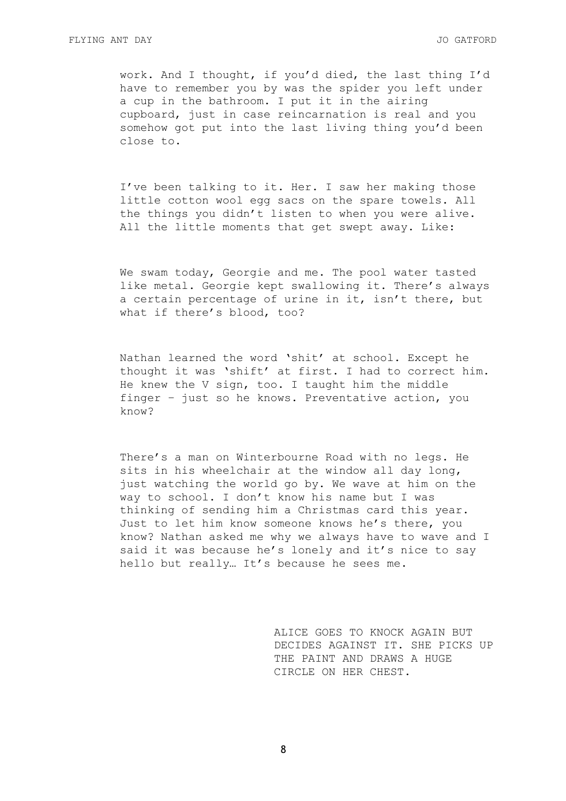work. And I thought, if you'd died, the last thing I'd have to remember you by was the spider you left under a cup in the bathroom. I put it in the airing cupboard, just in case reincarnation is real and you somehow got put into the last living thing you'd been close to.

I've been talking to it. Her. I saw her making those little cotton wool egg sacs on the spare towels. All the things you didn't listen to when you were alive. All the little moments that get swept away. Like:

We swam today, Georgie and me. The pool water tasted like metal. Georgie kept swallowing it. There's always a certain percentage of urine in it, isn't there, but what if there's blood, too?

Nathan learned the word 'shit' at school. Except he thought it was 'shift' at first. I had to correct him. He knew the V sign, too. I taught him the middle finger – just so he knows. Preventative action, you know?

There's a man on Winterbourne Road with no legs. He sits in his wheelchair at the window all day long, just watching the world go by. We wave at him on the way to school. I don't know his name but I was thinking of sending him a Christmas card this year. Just to let him know someone knows he's there, you know? Nathan asked me why we always have to wave and I said it was because he's lonely and it's nice to say hello but really… It's because he sees me.

> ALICE GOES TO KNOCK AGAIN BUT DECIDES AGAINST IT. SHE PICKS UP THE PAINT AND DRAWS A HUGE CIRCLE ON HER CHEST.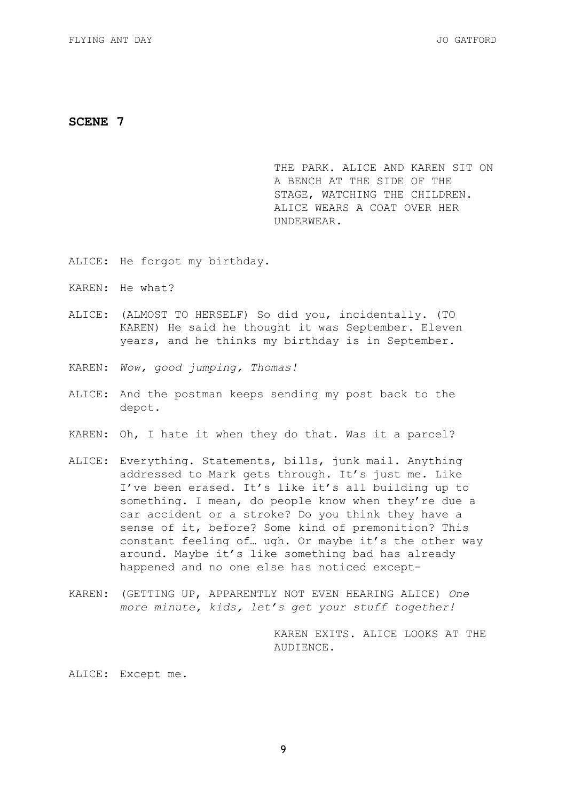THE PARK. ALICE AND KAREN SIT ON A BENCH AT THE SIDE OF THE STAGE, WATCHING THE CHILDREN. ALICE WEARS A COAT OVER HER UNDERWEAR.

- ALICE: He forgot my birthday.
- KAREN: He what?
- ALICE: (ALMOST TO HERSELF) So did you, incidentally. (TO KAREN) He said he thought it was September. Eleven years, and he thinks my birthday is in September.
- KAREN: *Wow, good jumping, Thomas!*
- ALICE: And the postman keeps sending my post back to the depot.
- KAREN: Oh, I hate it when they do that. Was it a parcel?
- ALICE: Everything. Statements, bills, junk mail. Anything addressed to Mark gets through. It's just me. Like I've been erased. It's like it's all building up to something. I mean, do people know when they're due a car accident or a stroke? Do you think they have a sense of it, before? Some kind of premonition? This constant feeling of… ugh. Or maybe it's the other way around. Maybe it's like something bad has already happened and no one else has noticed except–
- KAREN: (GETTING UP, APPARENTLY NOT EVEN HEARING ALICE) *One more minute, kids, let's get your stuff together!*

KAREN EXITS. ALICE LOOKS AT THE AUDIENCE.

# ALICE: Except me.